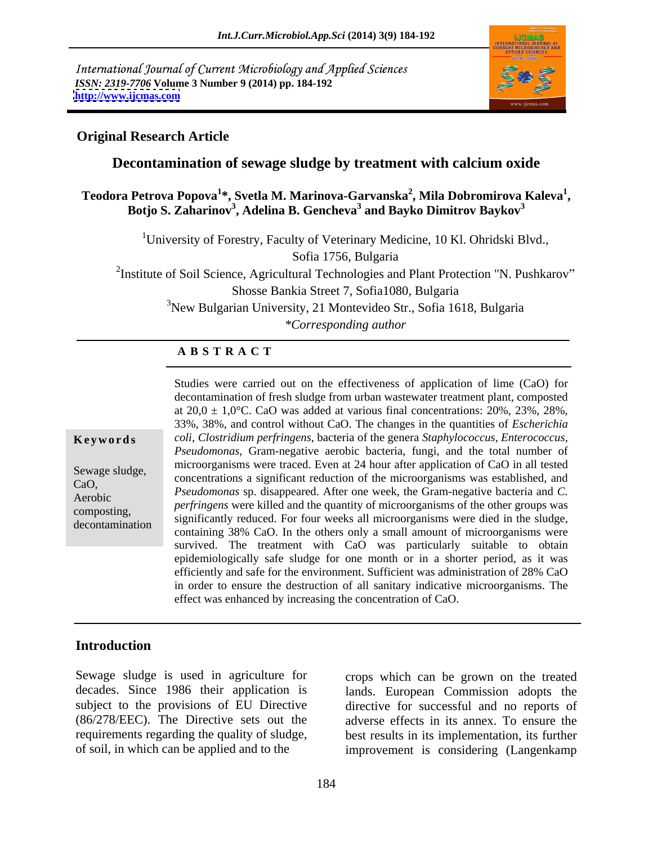International Journal of Current Microbiology and Applied Sciences *ISSN: 2319-7706* **Volume 3 Number 9 (2014) pp. 184-192 <http://www.ijcmas.com>**



### **Original Research Article**

### **Decontamination of sewage sludge by treatment with calcium oxide**

#### **Teodora Petrova Popova<sup>1</sup> \*, Svetla M. Marinova-Garvanska<sup>2</sup> , Mila Dobromirova Kaleva<sup>1</sup>** Petrova Popova<sup>1</sup>\*, Svetla M. Marinova-Garvanska<sup>2</sup>, Mila Dobromirova Kaleva<sup>1</sup>,<br>Botjo S. Zaharinov<sup>3</sup>, Adelina B. Gencheva<sup>3</sup> and Bayko Dimitrov Baykov<sup>3</sup>

<sup>1</sup>University of Forestry, Faculty of Veterinary Medicine, 10 Kl. Ohridski Blvd.,

Sofia 1756, Bulgaria

<sup>2</sup>Institute of Soil Science, Agricultural Technologies and Plant Protection "N. Pushkarov" Shosse Bankia Street 7, Sofia1080, Bulgaria <sup>3</sup>New Bulgarian University, 21 Montevideo Str., Sofia 1618, Bulgaria

*\*Corresponding author*

### **A B S T R A C T**

| Keywords |  |  |  |
|----------|--|--|--|
|----------|--|--|--|

**Ke ywo rds** *coli*, *Clostridium perfringens*, bacteria of the genera *Staphylococcus, Enterococcus,*  Sewage sludge,<br>
concentrations a significant reduction of the microorganisms was established, and<br>
Seven a significant reduction of the microorganisms was established, and CaO, *Pseudomonas* sp. disappeared. After one week, the Gram-negative bacteria and *C.*  Aerobic<br> *perfringens* were killed and the quantity of microorganisms of the other groups was<br> *perfringens* were killed and the quantity of microorganisms of the other groups was composting,<br>decontamination significantly reduced. For four weeks all microorganisms were died in the sludge, decontamination containing 38% CaO. In the others only a small amount of microorganisms were Studies were carried out on the effectiveness of application of lime (CaO) for decontamination of fresh sludge from urban wastewater treatment plant, composted at  $20,0 \pm 1,0$ °C. CaO was added at various final concentrations: 20%, 23%, 28%, 33%, 38%, and control without CaO. The changes in the quantities of *Escherichia Pseudomonas*, Gram-negative aerobic bacteria, fungi, and the total number of microorganisms were traced. Even at 24 hour after application of CaO in all tested survived. The treatment with CaO was particularly suitable to obtain epidemiologically safe sludge for one month or in a shorter period, as it was efficiently and safe for the environment. Sufficient was administration of 28% CaO in order to ensure the destruction of all sanitary indicative microorganisms. The effect was enhanced by increasing the concentration of CaO.

# **Introduction**

requirements regarding the quality of sludge,

Sewage sludge is used in agriculture for crops which can be grown on the treated decades. Since 1986 their application is lands. European Commission adopts the subject to the provisions of EU Directive directive for successful and no reports of (86/278/EEC). The Directive sets out the adverse effects in its annex. To ensure the of soil, in which can be applied and to the improvement is considering (Langenkamp best results in its implementation, its further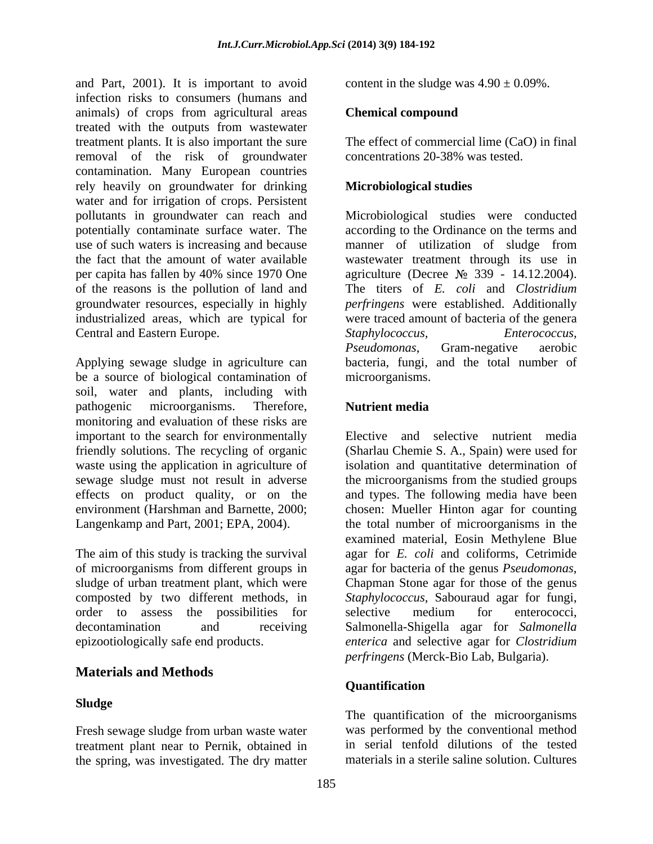and Part, 2001). It is important to avoid infection risks to consumers (humans and animals) of crops from agricultural areas treated with the outputs from wastewater treatment plants. It is also important the sure removal of the risk of groundwater contamination. Many European countries rely heavily on groundwater for drinking water and for irrigation of crops. Persistent pollutants in groundwater can reach and Microbiological studies were conducted potentially contaminate surface water. The according to the Ordinance on the terms and use of such waters is increasing and because manner of utilization of sludge from the fact that the amount of water available wastewater treatment through its use in per capita has fallen by 40% since 1970 One agriculture (Decree № 339 - 14.12.2004). of the reasons is the pollution of land and groundwater resources, especially in highly industrialized areas, which are typical for were traced amount of bacteria of the genera

Applying sewage sludge in agriculture can be a source of biological contamination of soil, water and plants, including with pathogenic microorganisms. Therefore, **Nutrient media** monitoring and evaluation of these risks are important to the search for environmentally

of microorganisms from different groups in agar for bacteria of the genus *Pseudomonas*, sludge of urban treatment plant, which were Chapman Stone agar for those of the genus order to assess the possibilities for selective medium for enterococci.

## **Materials and Methods**

Fresh sewage sludge from urban waste water treatment plant near to Pernik, obtained in the spring, was investigated. The dry matter

content in the sludge was  $4.90 \pm 0.09\%$ .

#### **Chemical compound**

The effect of commercial lime (CaO) in final concentrations 20-38% was tested.

### **Microbiological studies**

Central and Eastern Europe. Staphylococcus, Enterococcus, Enterococcus, Enterococcus, Pseudomonas, Gram-negative aerobic The titers of *E. coli* and *Clostridium perfringens* were established. Additionally *Staphylococcus, Enterococcus, Pseudomonas*, Gram-negative aerobic bacteria, fungi, and the total number of microorganisms.

### **Nutrient media**

friendly solutions. The recycling of organic (Sharlau Chemie S. A., Spain) were used for waste using the application in agriculture of isolation and quantitative determination of sewage sludge must not result in adverse the microorganisms from the studied groups effects on product quality, or on the and types. The following media have been environment (Harshman and Barnette, 2000; chosen: Mueller Hinton agar for counting Langenkamp and Part, 2001; EPA, 2004). <br>
the total number of microorganisms in the<br>
examined material, Eosin Methylene Blue<br>
The aim of this study is tracking the survival agar for E. coli and coliforms, Cetrimide composted by two different methods, in *Staphylococcus,* Sabouraud agar for fungi, decontamination and receiving Salmonella-Shigella agar for *Salmonella*  epizootiologically safe end products. *enterica* and selective agar for *Clostridium*  Elective and selective nutrient media the total number of microorganisms in the examined material, Eosin Methylene Blue agar for *E. coli* and coliforms, Cetrimide agar for bacteria of the genus *Pseudomonas*, Chapman Stone agar for those of the genus selective medium for enterococci, *perfringens* (Merck-Bio Lab, Bulgaria).

### **Quantification**

**Sludge** The quantification of the microorganisms was performed by the conventional method in serial tenfold dilutions of the tested materials in a sterile saline solution. Cultures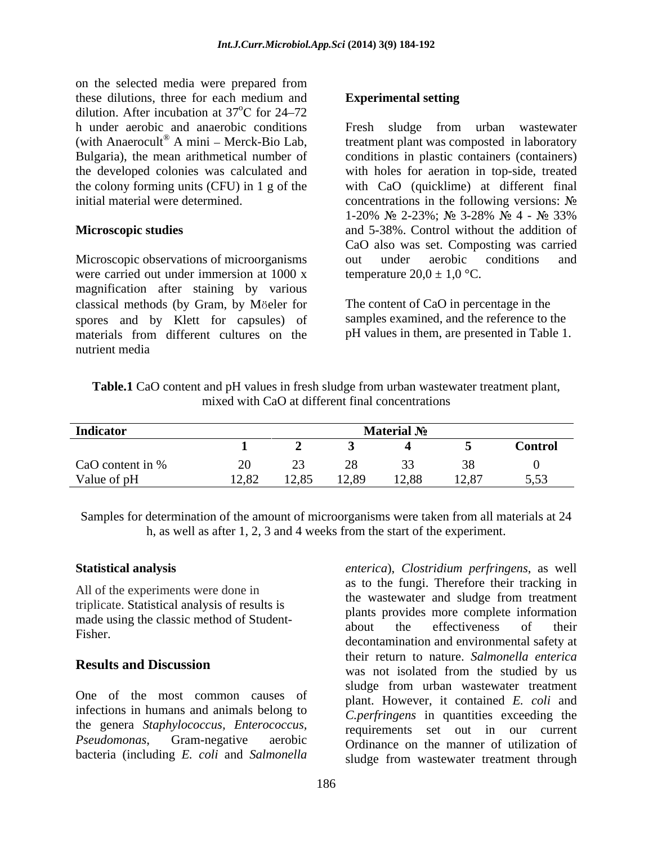on the selected media were prepared from these dilutions, three for each medium and **Experimental setting** dilution. After incubation at 37°C for 24–72  $^{0}$ C for 24.72 for  $24 - 72$ h under aerobic and anaerobic conditions (with Anaerocult® A mini – Merck-Bio Lab, the developed colonies was calculated and

were carried out under immersion at 1000 x magnification after staining by various classical methods (by Gram, by Möeler for The content of CaO in percentage in the spores and by Klett for capsules) of materials from different cultures on the nutrient media

#### **Experimental setting**

A mini – Merck-Bio Lab, treatment plant was composted in laboratory Bulgaria), the mean arithmetical number of conditions in plastic containers (containers) the colony forming units (CFU) in 1 g of the with CaO (quicklime) at different final initial material were determined. concentrations in the following versions: **Microscopic studies** and 5-38%. Control without the addition of Microscopic observations of microorganisms out under aerobic conditions and Fresh sludge from urban wastewater with holes for aeration in top-side, treated 1-20% № 2-23%; № 3-28% № 4 - № 33% CaO also was set. Composting was carried out under aerobic conditions and temperature  $20.0 \pm 1.0$  °C.

> The content of CaO in percentage in the samples examined, and the reference to the pH values in them, are presented in Table 1.

| Table.1<br>nt and pH<br>H values in fresh sludge from urban wastewater treatment plant,<br>D content<br>wax |  |
|-------------------------------------------------------------------------------------------------------------|--|
| differe<br>mixe<br>i concentrations<br>rent fina.<br>aı                                                     |  |

| Indicator        |       |       |       | <b>Material No</b> |       |                |
|------------------|-------|-------|-------|--------------------|-------|----------------|
|                  |       |       |       |                    |       | <b>Control</b> |
| CaO content in % |       |       |       |                    |       |                |
| Value of pH      | 12,82 | 12,85 | 12,89 | 12,88              | 12,87 | 5,53           |

Samples for determination of the amount of microorganisms were taken from all materials at 24 h, as well as after 1, 2, 3 and 4 weeks from the start of the experiment.

All of the experiments were done in triplicate. Statistical analysis of results is

One of the most common causes of infections in humans and animals belong to the genera *Staphylococcus, Enterococcus, Pseudomonas*, Gram-negative aerobic Ordinance on the manner of utilization of bacteria (including *E. coli* and *Salmonella* 

**Statistical analysis** *enterica*), *Clostridium perfringens*, as well made using the classic method of Student-<br>about the effectiveness of their Fisher.<br>decontamination and environmental safety at the decontamination and environmental safety at **Results and Discussion Example 19 and Secure 19 and Secure 2011** was not isolated from the studied by us as to the fungi. Therefore their tracking in the wastewater and sludge from treatment plants provides more complete information about the effectiveness of their their return to nature. *Salmonella enterica* sludge from urban wastewater treatment plant. However, it contained *E. coli* and *C.perfringens* in quantities exceeding the requirements set out in our current sludge from wastewater treatment through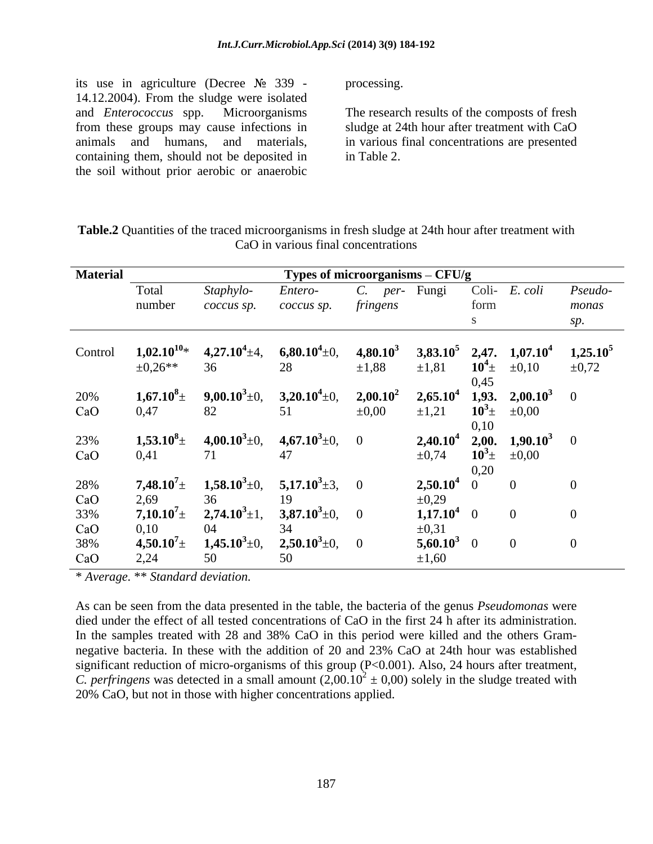its use in agriculture (Decree  $N_2$  339 - processing. 14.12.2004). From the sludge were isolated and *Enterococcus* spp. Microorganisms The research results of the composts of fresh from these groups may cause infections in sludge at 24th hour after treatment with CaO animals and humans, and materials, in various final concentrations are presented containing them, should not be deposited in in Table 2. the soil without prior aerobic or anaerobic

processing.

in Table 2.

| Table.2<br>24th hour after treatment with<br>t the trace<br>$\sim$ microorganisms $\mathbf{u}$ .<br>10 fresh sl<br>it1t1es<br>andoe at i<br>- Ouar<br>∂ at ∠4 |  |
|---------------------------------------------------------------------------------------------------------------------------------------------------------------|--|
| .J in various final concent<br>oncentrations                                                                                                                  |  |

| <b>Material</b> |                                  |                                            | Types of microorganisms - CFU/g |               |                        |                                                                      |            |            |
|-----------------|----------------------------------|--------------------------------------------|---------------------------------|---------------|------------------------|----------------------------------------------------------------------|------------|------------|
|                 | Total                            | Staphylo                                   | Entero-                         | $C.$ per-     | Fungi                  | Coli-                                                                | E. coli    | Pseudo-    |
|                 | number                           | coccus sp.                                 | coccus sp.                      | fringens      |                        | form                                                                 |            | monas      |
|                 |                                  |                                            |                                 |               |                        |                                                                      |            |            |
|                 |                                  |                                            |                                 |               |                        |                                                                      |            |            |
| Control         | $1,02.10^{10}$ *                 | $4,27.10^4 \pm 4, \qquad 6,80.10^4 \pm 0,$ |                                 | $4,80.10^3$   |                        | 3,83.10 <sup>5</sup> 2,47. 1,07.10 <sup>4</sup> 1,25.10 <sup>5</sup> |            |            |
|                 | $\pm 0.26**$                     | 36                                         | 28                              | $\pm 1,88$    | $\pm 1,81$             | $10^4 \pm$                                                           | $\pm 0,10$ | $\pm 0.72$ |
|                 |                                  |                                            |                                 |               |                        | 0,45                                                                 |            |            |
| 20%             | $1,67.10^8 \pm$                  | $9,00.10^3 \pm 0,$                         | $3,20.10^4 \pm 0,$              | $2{,}00.10^2$ |                        | $2,65.10^4$ 1,93. $2,00.10^3$ 0                                      |            |            |
| CaO             | 0,47                             | 82                                         |                                 | $\pm 0,00$    | $\pm 1,21$             | $10^3$ $\pm$ $\pm$ 0,00                                              |            |            |
|                 |                                  |                                            |                                 |               |                        | 0,10                                                                 |            |            |
| 23%             | $1,53.10^8 \pm$                  | $4{,}00.10^3 {\scriptstyle \pm 0},$        | $4,67.10^3 \pm 0, \quad 0$      |               |                        | <b>2,40.10<sup>4</sup> 2,00. 1,90.10<sup>3</sup></b> 0               |            |            |
| CaO             | 0,41                             |                                            | 41                              |               | $\pm 0,74$             | $10^3$ $\pm$ $\pm$ 0,00                                              |            |            |
|                 |                                  |                                            |                                 |               |                        | 0,20                                                                 |            |            |
| 28%             | $\textbf{7,48.10}^\textbf{7}\pm$ | $1,58.10^3\pm0,$                           | 5,17.10 <sup>3</sup> $\pm$ 3, 0 |               | $2,50.10^4$ 0          |                                                                      |            |            |
| CaO             | 2,69                             |                                            |                                 |               | $\pm 0,29$             |                                                                      |            |            |
| 33%             | $7{,}10{.}10^7{\scriptstyle\pm}$ | $2,74.10^3 \pm 1,$                         | 3,87.10 <sup>3</sup> ±0, 0      |               | $1,17.10^4$ 0          |                                                                      |            |            |
| CaO             | 0,10                             |                                            |                                 |               | $\pm 0.31$             |                                                                      |            |            |
| 38%             | $4,50.10^{7}$                    | $1,45.10^3 \pm 0,$                         | $2,50.10^3 \pm 0,$ (            |               | 5,60.10 <sup>3</sup> 0 |                                                                      |            |            |
| CaO             | 2,24                             | 50                                         |                                 |               | $\pm 1,60$             |                                                                      |            |            |

\* *Average.* \*\* *Standard deviation.*

As can be seen from the data presented in the table, the bacteria of the genus *Pseudomonas* were died under the effect of all tested concentrations of CaO in the first 24 h after its administration. In the samples treated with 28 and 38% CaO in this period were killed and the others Gram negative bacteria. In these with the addition of 20 and 23% CaO at 24th hour was established significant reduction of micro-organisms of this group (P<0.001). Also, 24 hours after treatment, *C. perfringens* was detected in a small amount  $(2,00.10^2 \pm 0,00)$  solely in the sludge treated with 20% CaO, but not in those with higher concentrations applied.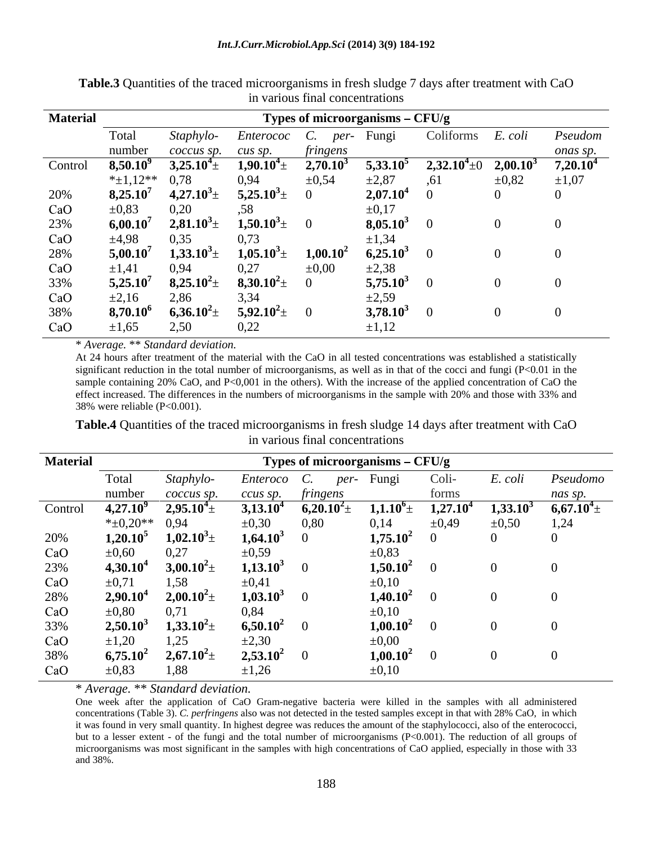| <b>Material</b> |                   |                     |                                | Types of microorganisms - CFU/g |                      |                    |             |             |
|-----------------|-------------------|---------------------|--------------------------------|---------------------------------|----------------------|--------------------|-------------|-------------|
|                 | Total             | Staphylo-           | <i>Enterococ C. per-</i> Fungi |                                 |                      | Coliforms          | E. coli     | Pseudom     |
|                 | number            | coccus sp.          | cus sp.                        | tringens                        |                      |                    |             | onas sp.    |
| Control         | $8,50.10^9$       | $3,25.10^{4}$ $\pm$ | $1,90.10^{4}$ ±                | $2,70.10^{3}$                   | $5,33.10^5$          | $2{,}32.10^4\pm 0$ | $2,00.10^3$ | $7,20.10^4$ |
|                 | $*_{\pm 1,12}$ ** | 0,78                | 0,94                           | $\pm 0.54$                      | $\pm 2,87$           |                    | $\pm 0.82$  | $\pm 1,07$  |
| 20%             | $8,25.10^7$       | $4,27.10^3 \pm$     | $5,25.10^3 \pm$                |                                 | 2,07.10 <sup>4</sup> |                    |             |             |
| CaO             | ±0,83             | 0,20                |                                |                                 | $\pm 0.17$           |                    |             |             |
| 23%             | $6,00.10^7$       | $2,81.10^3 \pm$     | $1,50.10^3 \pm$                |                                 | 8,05.10              |                    |             |             |
| CaO             | ±4,98             | 0,35                | 0,73                           |                                 | ±1.34                |                    |             |             |
| 28%             | $5,00.10^7$       | $1,33.10^3 \pm$     | $1{,}05.10^3 \pm$              | $1,00.10^2$                     | $6,25.10^3$          |                    |             |             |
| CaO             | $\pm 1,41$        | 0,94                | 0,27                           | $\pm 0.00$                      | $\pm 2,38$           |                    |             |             |
| 33%             | $5,25.10^7$       | $8,25.10^2 \pm$     | $8,30.10^2 \pm$                |                                 | 5,75.10              |                    |             |             |
| CaO             | $\pm 2,16$        | 2,86                | 3,34                           |                                 | $\pm 2,59$           |                    |             |             |
| 38%             | $8,70.10^6$       | $6,36.10^2 \pm$     | $5{,}92.10^2\pm$               |                                 | 3,78.10              |                    |             |             |
| CaO             | $\pm 1,65$        | 2,50                | ስ ኃኃ<br>ہے,∠ر                  |                                 | $\pm 1,12$           |                    |             |             |

**Table.3** Quantities of the traced microorganisms in fresh sludge 7 days after treatment with CaO in various final concentrations

\* *Average.* \*\* *Standard deviation.*

At 24 hours after treatment of the material with the CaO in all tested concentrations was established a statistically significant reduction in the total number of microorganisms, as well as in that of the cocci and fungi (P<0.01 in the sample containing 20% CaO, and P<0,001 in the others). With the increase of the applied concentration of CaO the effect increased. The differences in the numbers of microorganisms in the sample with 20% and those with 33% and 38% were reliable (P<0.001).

**Table.4** Quantities of the traced microorganisms in fresh sludge 14 days after treatment with CaO in various final concentrations

| <b>Material</b> | Types of microorganisms - CFU/g |                   |                      |                            |                |                   |             |               |  |  |
|-----------------|---------------------------------|-------------------|----------------------|----------------------------|----------------|-------------------|-------------|---------------|--|--|
|                 | Total                           | Staphylo-         | <i>Enteroco</i>      | per-<br>U.                 | Fungi          | Coli-             | E. coli     | Pseudomo      |  |  |
|                 | number                          | coccus sp.        | ccus sp.             | fringens                   |                | forms             |             | nas sp.       |  |  |
| Control         | $4,27.10^9$                     | $2,95.10^{4}$     | 3,13.10              | 6,20.10 <sup>2</sup> $\pm$ | $1,1.10^6 \pm$ | $1,27.10^{\circ}$ | $1,33.10^3$ | $6,67.10^{4}$ |  |  |
|                 | $*_{\pm}0,20**$                 | 0,94              | $\pm 0,30$           | 0,80                       | 0,14           | $\pm 0.49$        | $\pm 0,50$  | 1,24          |  |  |
| 20%             | $1,20.10^5$                     | $1{,}02{,}10^3$ d | 1,64.10              |                            | $1,75.10^2$    |                   |             |               |  |  |
| CaO             | $\pm 0,60$                      | 0,27              | $\pm 0,59$           |                            | $\pm 0.83$     |                   |             |               |  |  |
| 23%             | $4,30.10^4$                     | $3,00.10^2 \pm$   | 1,13.10 <sup>3</sup> |                            | $1,50.10^2$    |                   | 0           |               |  |  |
| CaO             | $\pm 0,71$                      | 1,58              | $\pm 0.41$           |                            | $\pm 0,10$     |                   |             |               |  |  |
| 28%             | $2,90.10^{\circ}$               | $2,00.10^2 \pm$   | 1,03.10              |                            | $1,40.10^2$    |                   | -0          |               |  |  |
| CaO             | $\pm 0,80$                      | 0,71              | 0,84                 |                            | $\pm 0,10$     |                   |             |               |  |  |
| 33%             | $2,50.10^3$                     | $1,33.10^2 \pm$   | $6,50.10^2$          |                            | $1,00.10^2$    |                   | -0          |               |  |  |
| CaO             | $\pm 1,20$                      | 1,25              | $\pm 2,30$           |                            | $\pm 0,00$     |                   |             |               |  |  |
| 38%             | $6,75.10^2$                     | $2,67.10^2 \pm$   | $2,53.10^2$          |                            | $1,00.10^2$    |                   | $\theta$    |               |  |  |
| CaO             | $\pm 0.83$                      | 1,88              | $\pm 1,26$           |                            | $\pm 0,10$     |                   |             |               |  |  |

\* *Average.* \*\* *Standard deviation.*

One week after the application of CaO Gram-negative bacteria were killed in the samples with all administered concentrations (Table 3). *C. perfringens* also was not detected in the tested samples except in that with 28% CaO, in which it was found in very small quantity. In highest degree was reduces the amount of the staphylococci, also of the enterococci, but to a lesser extent - of the fungi and the total number of microorganisms  $(P< 0.001)$ . The reduction of all groups of microorganisms was most significant in the samples with high concentrations of CaO applied, especially in those with 33 and 38%.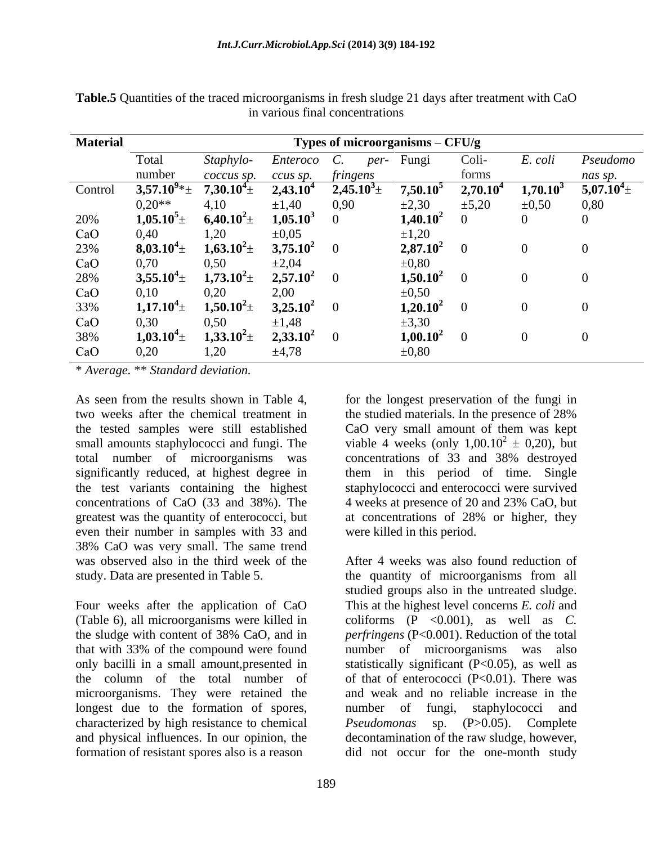| <b>Material</b> | Types of microorganisms - CFU/g |                  |                      |             |             |             |               |                                          |  |
|-----------------|---------------------------------|------------------|----------------------|-------------|-------------|-------------|---------------|------------------------------------------|--|
|                 | Total                           | <i>Staphylo-</i> | <i>Enteroco</i>      | per-<br>U.  | Fungi       | Coli-       | E. coli       | Pseudomo                                 |  |
|                 | number                          | coccus sp.       | ccus sp.             | fringens    |             | forms       |               | nas sp.<br>the company of the company of |  |
| Control         | $3,57.10^{9*}$ ±                | $7,30.10^4$      | 2,43.10 <sup>4</sup> | $2,45.10^3$ | $7,50.10^5$ | $2,70.10^4$ | $1,70.10^{3}$ | $5,07.10^{4}$ ±                          |  |
|                 | $0.20**$                        | 4,10             | $\pm 1,40$           | 0,90        | $\pm 2,30$  | $\pm$ 5,20  | $\pm 0,50$    | 0,80                                     |  |
| 20%             | $1,05.10^5 \pm$                 | $6{,}40.10^2\pm$ | $1,05.10^3$          |             | $1,40.10^2$ |             |               |                                          |  |
| CaO             | 0,40                            | 1,20             | $\pm 0.05$           |             | $\pm 1,20$  |             |               |                                          |  |
| 23%             | $8,03.10^4 \pm$                 | $1,63.10^2 \pm$  | $3,75.10^2$          |             | $2,87.10^2$ |             |               |                                          |  |
| CaO             | 0,70                            | 0,50             | $\pm 2,04$           |             | $\pm 0,80$  |             |               |                                          |  |
| 28%             | $3,55.10^{4}$ ±                 | $1,73.10^2 \pm$  | $2,57.10^2$          |             | $1,50.10^2$ |             |               |                                          |  |
| CaO             | 0,10                            | 0,20             | 2,00                 |             | $\pm 0,50$  |             |               |                                          |  |
| 33%             | $1,17.10^4 \pm$                 | $1,50.10^2 \pm$  | $3,25.10^2$          |             | $1,20.10^2$ |             |               |                                          |  |
| CaO             | 0,30                            | 0,50             | $\pm 1,48$           |             | $\pm 3,30$  |             |               |                                          |  |
| 38%             | $1,03.10^4 \pm$                 | $1,33.10^2 \pm$  | $2,33.10^2$          |             | $1,00.10^2$ |             |               |                                          |  |
| CaO             | 0,20                            | 1,20             | ±4,78                |             | $\pm 0,80$  |             |               |                                          |  |

**Table.5** Quantities of the traced microorganisms in fresh sludge 21 days after treatment with CaO in various final concentrations

\* *Average.* \*\* *Standard deviation.*

As seen from the results shown in Table 4, for the longest preservation of the fungi in two weeks after the chemical treatment in the studied materials. In the presence of 28% the tested samples were still established CaO very small amount of them was kept small amounts staphylococci and fungi. The total number of microorganisms was significantly reduced, at highest degree in them in this period of time. Single the test variants containing the highest staphylococci and enterococci were survived concentrations of CaO (33 and 38%). The 4 weeks at presence of 20 and 23% CaO, but greatest was the quantity of enterococci, but at concentrations of 28% or higher, they even their number in samples with 33 and 38% CaO was very small. The same trend

Four weeks after the application of CaO (Table 6), all microorganisms were killed in microorganisms. They were retained the longest due to the formation of spores, mumber of fungi, staphylococci and characterized by high resistance to chemical *Pseudomonas* sp. (P>0.05). Complete

viable 4 weeks (only  $1,00.10^2 \pm 0,20$ ), but  $^{2} \pm 0,20$ , but concentrations of 33 and 38% destroyed at concentrations of 28% or higher, they were killed in this period.

was observed also in the third week of the After 4 weeks was also found reduction of study. Data are presented in Table 5. the quantity of microorganisms from all the sludge with content of 38% CaO, and in *perfringens* (P<0.001). Reduction of the total that with 33% of the compound were found number of microorganisms was also only bacilli in a small amount,presented in statistically significant (P<0.05), aswell as the column of the total number of of that of enterococci  $(P<0.01)$ . There was and physical influences.In our opinion, the decontamination of the raw sludge, however, formation of resistant spores also is a reason did not occur for the one-month studystudied groups also in the untreated sludge. This at the highest level concerns *E. coli* and coliforms  $(P \le 0.001)$ , as well as *C*. *perfringens* (P<0.001). Reduction of the total and weak and no reliable increase in the number of fungi, staphylococci and *Pseudomonas* sp. (P>0.05).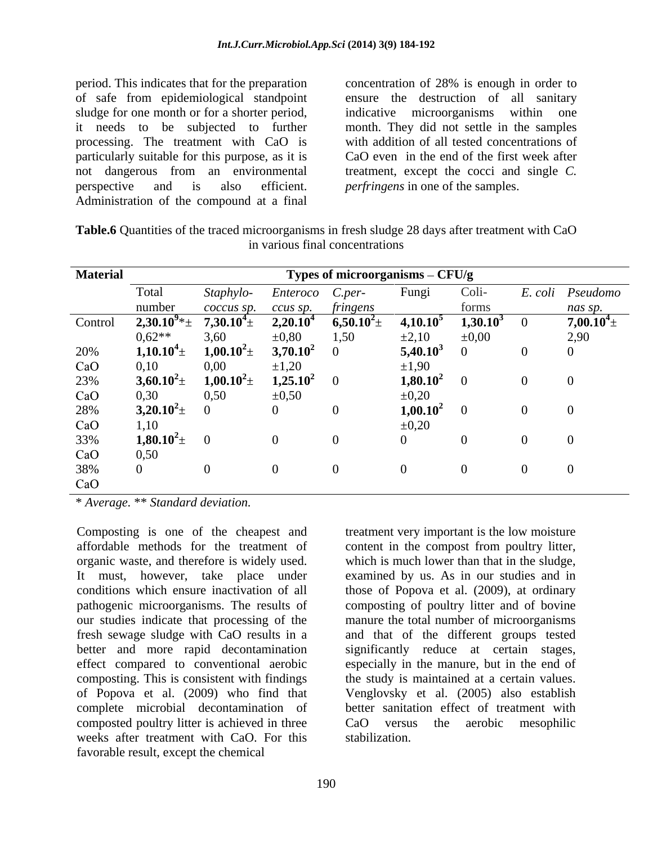period. This indicates that for the preparation of safe from epidemiological standpoint sludge for one month or for a shorter period, indicative microorganisms within one it needs to be subjected to further month. They did not settle in the samples processing. The treatment with CaO is with addition of all tested concentrations of particularly suitable for this purpose, as it is not dangerous from an environmental perspective and is also efficient. *perfringens* in one of the samples. Administration of the compound at a final

concentration of 28% is enough in order to ensure the destruction of all sanitary CaO even in the end of the first week after treatment, except the cocci and single *C.* 

| Table.6<br>$\sim$ 28 days after transless that<br>croorganisms **<br>reatment<br>$\sim$ cs of the tree<br>° in fres<br><b>Quantities</b><br>া with U<br>. sludge i<br>a que de la comunicación de la comunicación de la comunicación de la consecución de la comunicación de la comunicación de la comunicación de la comunicación de la comunicación de la comunicación de la comunicación de la co<br>vav |  |
|-------------------------------------------------------------------------------------------------------------------------------------------------------------------------------------------------------------------------------------------------------------------------------------------------------------------------------------------------------------------------------------------------------------|--|
| inal concentrations<br>$\mathbf{X}$ $\mathbf{Y}$ $\mathbf{O}$ $\mathbf{A}$<br>. various                                                                                                                                                                                                                                                                                                                     |  |

| <b>Material</b> |                       |                 |               | Types of microorganisms - CFU/g |               |               |         |                  |
|-----------------|-----------------------|-----------------|---------------|---------------------------------|---------------|---------------|---------|------------------|
|                 | Total                 | Staphylo-       | Enteroco      | C.per-                          | Fungi         | Coli-         | E. coli | Pseudomo         |
|                 | number                | coccus sp.      | ccus sp.      | fringens                        |               | forms         |         | nas sp.          |
| Control         | $2,30.10^{9}$ * $\pm$ | $7{,}30.10^4$ d | $2,20.10^4$   | $6,50.10^{2}$ +                 | $4,10.10^5$   | $1,30.10^3$ 0 |         | $7{,}00.10^4\pm$ |
|                 | $0.62**$              | 3,60            | $\pm 0.80$    | 1,50                            | $\pm 2,10$    | $\pm 0,00$    |         | 2,90             |
| 20%             | $1,10.10^4\pm$        | $1,00.10^2$     | $3,70.10^2$   |                                 | $5,40.10^3$   |               |         |                  |
| CaO             | 0,10                  | 0,00            | $\pm 1,20$    |                                 | $\pm 1,90$    |               |         |                  |
| 23%             | $3,60.10^2 \pm$       | $1,00.10^2$     | $1{,}25.10^2$ |                                 | $1,80.10^2$   |               |         |                  |
| CaO             | 0,30                  | 0,50            | $\pm 0,50$    |                                 | $\pm 0,20$    |               |         |                  |
| 28%             | $3,20.10^2 \pm$       |                 |               |                                 | $1{,}00.10^2$ |               |         |                  |
| CaO             | 1,10                  |                 |               |                                 | $\pm 0,20$    |               |         |                  |
| 33%             | $1,80.10^2 \pm$       |                 |               |                                 |               |               |         |                  |
| CaO             | 0,50                  |                 |               |                                 |               |               |         |                  |
| 38%             |                       |                 |               |                                 |               |               |         |                  |
| CaO             |                       |                 |               |                                 |               |               |         |                  |

\* *Average.* \*\* *Standard deviation.*

Composting is one of the cheapest and affordable methods for the treatment of content in the compost from poultry litter, organic waste, and therefore is widely used. It must, however, take place under examined by us. As in our studies and in conditions which ensure inactivation of all those of Popova et al. (2009), at ordinary pathogenic microorganisms. The results of composting of poultry litter and of bovine our studies indicate that processing of the fresh sewage sludge with CaO results in a and that of the different groups tested better and more rapid decontamination significantly reduce at certain stages, effect compared to conventional aerobic especially in the manure, but in the end of composting. This is consistent with findings the study is maintained at a certain values. of Popova et al. (2009) who find that Venglovsky et al. (2005) also establish complete microbial decontamination of composted poultry litter is achieved in three  $\qquad \qquad$  CaO versus the aerobic mesophilic weeks after treatment with CaO. For this favorable result, except the chemical

treatment very important is the low moisture which is much lower than that in the sludge, manure the total number of microorganisms better sanitation effect of treatment with CaO versus the aerobic mesophilic stabilization.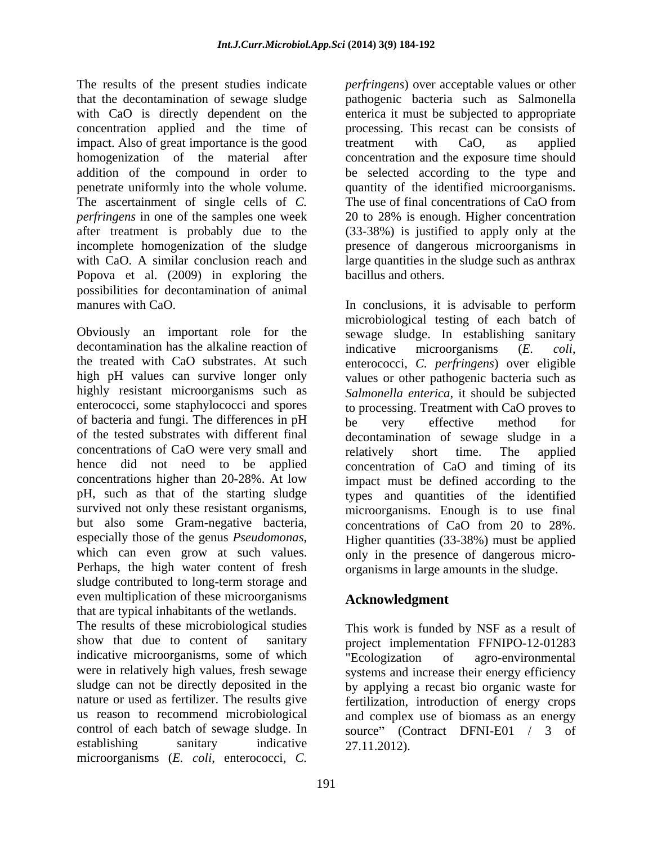The results of the present studies indicate *perfringens*) over acceptable values or other that the decontamination of sewage sludge pathogenic bacteria such as Salmonella with CaO is directly dependent on the concentration applied and the time of impact. Also of great importance is the good treatment with CaO, as applied homogenization of the material after concentration and the exposure time should addition of the compound in order to be selected according to the type and penetrate uniformly into the whole volume. quantity of the identified microorganisms. The ascertainment of single cells of *C*. The use of final concentrations of CaO from *perfringens* in one of the samples one week after treatment is probably due to the (33-38%) is justified to apply only at the incomplete homogenization of the sludge presence of dangerous microorganisms in with CaO. A similar conclusion reach and large quantities in the sludge such as anthrax Popova et al. (2009) in exploring the possibilities for decontamination of animal

decontamination has the alkaline reaction of indicative microorganisms  $(E. \text{ } coli,$ the treated with CaO substrates. At such enterococci, C. perfringens) over eligible of bacteria and fungi. The differences in pH be very effective method for of the tested substrates with different final concentrations of CaO were very small and relatively short time. The applied pH, such as that of the starting sludge sludge contributed to long-term storage and even multiplication of these microorganisms that are typical inhabitants of the wetlands.

show that due to content of sanitary project implementation FFNIPO-12-01283 indicative microorganisms, some of which<br>were in relatively high values, fresh sewage<br>were specific and increase their energy efficiency sludge can not be directly deposited in the nature or used as fertilizer. The results give microorganisms (*E. coli*, enterococci, *C.* 

enterica it must be subjected to appropriate processing. This recast can be consists of treatment with CaO, as applied The use of final concentrations of CaO from 20 to 28% is enough. Higher concentration bacillus and others.

manures with CaO. In conclusions, it is advisable to perform Obviously an important role for the sewage sludge. In establishing sanitary high pH values can survive longer only values or other pathogenic bacteria such as highly resistant microorganisms such as *Salmonella enterica*, it should be subjected enterococci, some staphylococci and spores to processing. Treatment with CaO proves to hence did not need to be applied concentration of CaO and timing of its concentrations higher than 20-28%. At low impact must be defined according to the survived not only these resistant organisms, microorganisms. Enough is to use final<br>but also some Gram-negative bacteria, concentrations of CaO from 20 to 28%. especially those of the genus *Pseudomonas*,<br>which can even grow at such values. Perhaps, the high water content of fresh organisms in large amounts in the sludge. microbiological testing of each batch of indicative microorganisms (*E. coli*, enterococci, *C. perfringens*) over eligible be very effective method for decontamination of sewage sludge in a relatively short time. The applied types and quantities of the identified microorganisms. Enough is to use final concentrations of CaO from 20 to 28%. Higher quantities (33-38%) must be applied only in the presence of dangerous micro organisms in large amounts in the sludge.

# **Acknowledgment**

The results of these microbiological studies This work is funded by NSF as a result of were in relatively high values, fresh sewage systems and increase their energy efficiency nature or used as fertilizer. The results give fertilization, introduction of energy crops us reason to recommend microbiological and complex use of biomass as an energy control of each batch of sewage sludge. In source" (Contract DFNI-E01 / 3 of establishing sanitary indicative  $27.11.2012$ ). project implementation FFNIPO-12-01283 "Ecologization of agro-environmental by applying a recast bio organic waste for 27.11.2012).